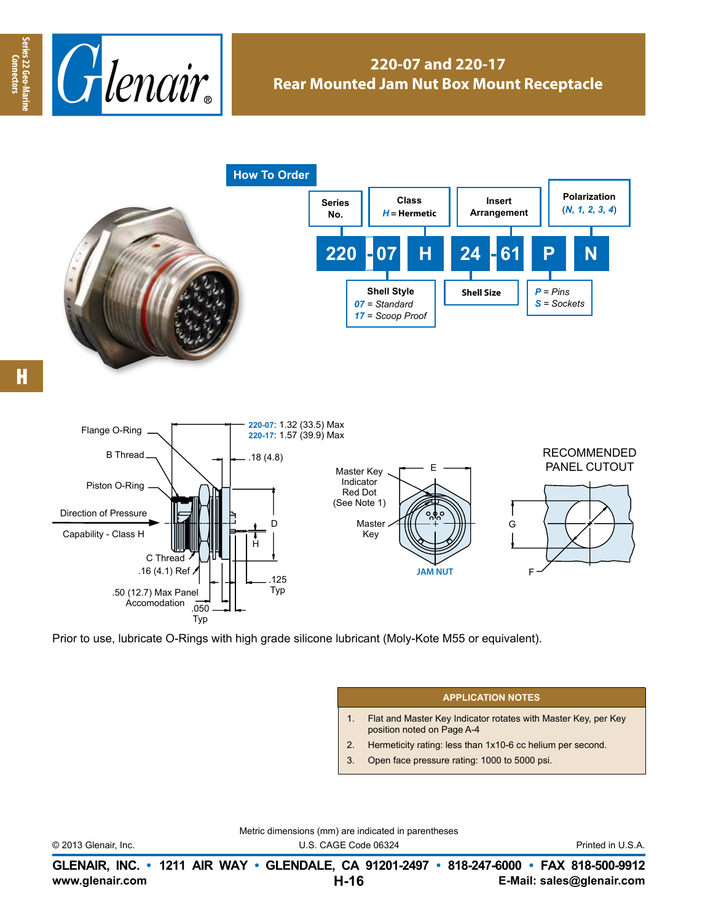

## **220-07 and 220-17 Rear Mounted Jam Nut Box Mount Receptacle**



Prior to use, lubricate O-Rings with high grade silicone lubricant (Moly-Kote M55 or equivalent).

## **APPLICATION NOTES**

- 1. Flat and Master Key Indicator rotates with Master Key, per Key position noted on Page A-4
- 2. Hermeticity rating: less than 1x10-6 cc helium per second.
- 3. Open face pressure rating: 1000 to 5000 psi.

Metric dimensions (mm) are indicated in parentheses

© 2013 Glenair, Inc. U.S. CAGE Code 06324 Printed in U.S.A.

**www.glenair.com E-Mail: sales@glenair.com GLENAIR, INC. • 1211 AIR WAY • GLENDALE, CA 91201-2497 • 818-247-6000 • FAX 818-500-9912 H-16**

**Connectors**

Connectors